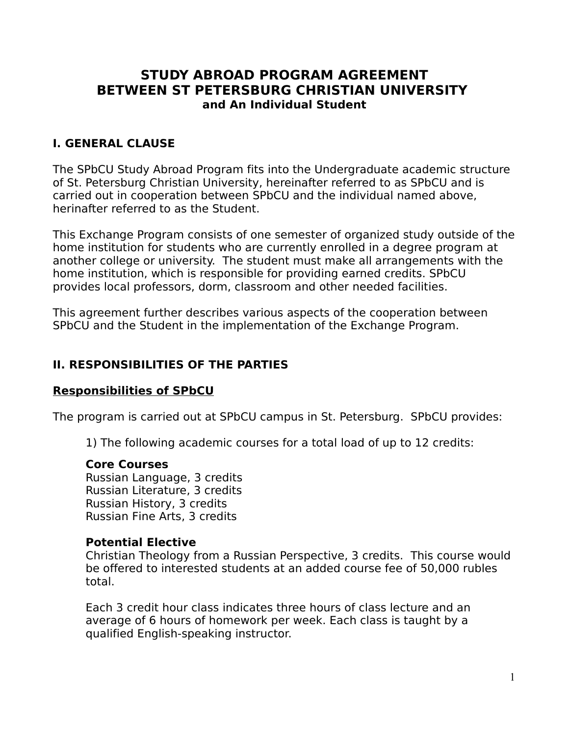# **STUDY ABROAD PROGRAM AGREEMENT BETWEEN ST PETERSBURG CHRISTIAN UNIVERSITY and An Individual Student**

### **I. GENERAL CLAUSE**

The SPbCU Study Abroad Program fits into the Undergraduate academic structure of St. Petersburg Christian University, hereinafter referred to as SPbCU and is carried out in cooperation between SPbCU and the individual named above, herinafter referred to as the Student.

This Exchange Program consists of one semester of organized study outside of the home institution for students who are currently enrolled in a degree program at another college or university. The student must make all arrangements with the home institution, which is responsible for providing earned credits. SPbCU provides local professors, dorm, classroom and other needed facilities.

This agreement further describes various aspects of the cooperation between SPbCU and the Student in the implementation of the Exchange Program.

#### **II. RESPONSIBILITIES OF THE PARTIES**

#### **Responsibilities of SPbCU**

The program is carried out at SPbCU campus in St. Petersburg. SPbCU provides:

1) The following academic courses for a total load of up to 12 credits:

#### **Core Courses**

Russian Language, 3 credits Russian Literature, 3 credits Russian History, 3 credits Russian Fine Arts, 3 credits

#### **Potential Elective**

Christian Theology from a Russian Perspective, 3 credits. This course would be offered to interested students at an added course fee of 50,000 rubles total.

Each 3 credit hour class indicates three hours of class lecture and an average of 6 hours of homework per week. Each class is taught by a qualified English-speaking instructor.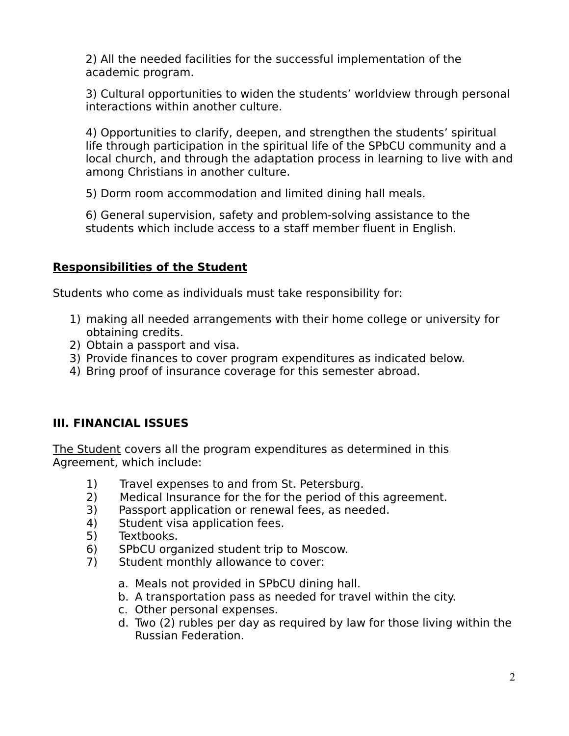2) All the needed facilities for the successful implementation of the academic program.

3) Cultural opportunities to widen the students' worldview through personal interactions within another culture.

4) Opportunities to clarify, deepen, and strengthen the students' spiritual life through participation in the spiritual life of the SPbCU community and a local church, and through the adaptation process in learning to live with and among Christians in another culture.

5) Dorm room accommodation and limited dining hall meals.

6) General supervision, safety and problem-solving assistance to the students which include access to a staff member fluent in English.

## **Responsibilities of the Student**

Students who come as individuals must take responsibility for:

- 1) making all needed arrangements with their home college or university for obtaining credits.
- 2) Obtain a passport and visa.
- 3) Provide finances to cover program expenditures as indicated below.
- 4) Bring proof of insurance coverage for this semester abroad.

# **III. FINANCIAL ISSUES**

The Student covers all the program expenditures as determined in this Agreement, which include:

- 1) Travel expenses to and from St. Petersburg.
- 2) Medical Insurance for the for the period of this agreement.
- 3) Passport application or renewal fees, as needed.
- 4) Student visa application fees.
- 5) Textbooks.
- 6) SPbCU organized student trip to Moscow.
- 7) Student monthly allowance to cover:
	- a. Meals not provided in SPbCU dining hall.
	- b. A transportation pass as needed for travel within the city.
	- c. Other personal expenses.
	- d. Two (2) rubles per day as required by law for those living within the Russian Federation.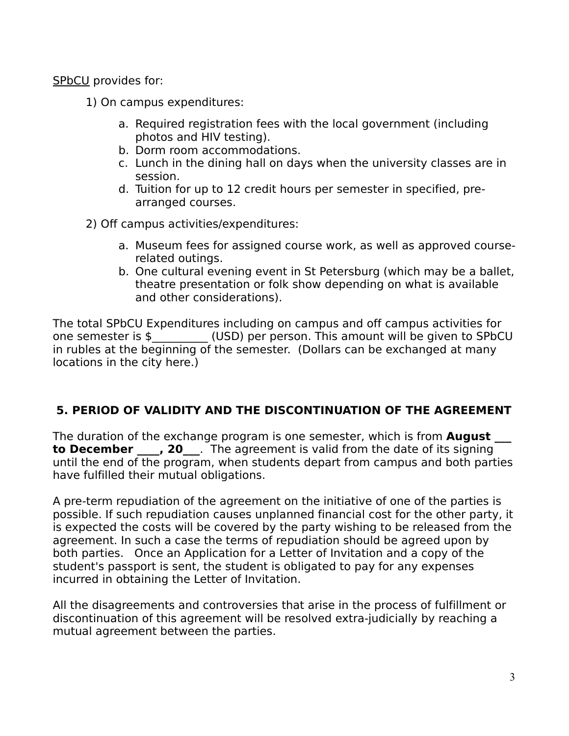SPbCU provides for:

- 1) On campus expenditures:
	- a. Required registration fees with the local government (including photos and HIV testing).
	- b. Dorm room accommodations.
	- c. Lunch in the dining hall on days when the university classes are in session.
	- d. Tuition for up to 12 credit hours per semester in specified, prearranged courses.
- 2) Off campus activities/expenditures:
	- a. Museum fees for assigned course work, as well as approved courserelated outings.
	- b. One cultural evening event in St Petersburg (which may be a ballet, theatre presentation or folk show depending on what is available and other considerations).

The total SPbCU Expenditures including on campus and off campus activities for one semester is \$\_\_\_\_\_\_\_\_\_\_ (USD) per person. This amount will be given to SPbCU in rubles at the beginning of the semester. (Dollars can be exchanged at many locations in the city here.)

# **5. PERIOD OF VALIDITY AND THE DISCONTINUATION OF THE AGREEMENT**

The duration of the exchange program is one semester, which is from **Auqust to December** , 20 . The agreement is valid from the date of its signing until the end of the program, when students depart from campus and both parties have fulfilled their mutual obligations.

A pre-term repudiation of the agreement on the initiative of one of the parties is possible. If such repudiation causes unplanned financial cost for the other party, it is expected the costs will be covered by the party wishing to be released from the agreement. In such a case the terms of repudiation should be agreed upon by both parties. Once an Application for a Letter of Invitation and a copy of the student's passport is sent, the student is obligated to pay for any expenses incurred in obtaining the Letter of Invitation.

All the disagreements and controversies that arise in the process of fulfillment or discontinuation of this agreement will be resolved extra-judicially by reaching a mutual agreement between the parties.